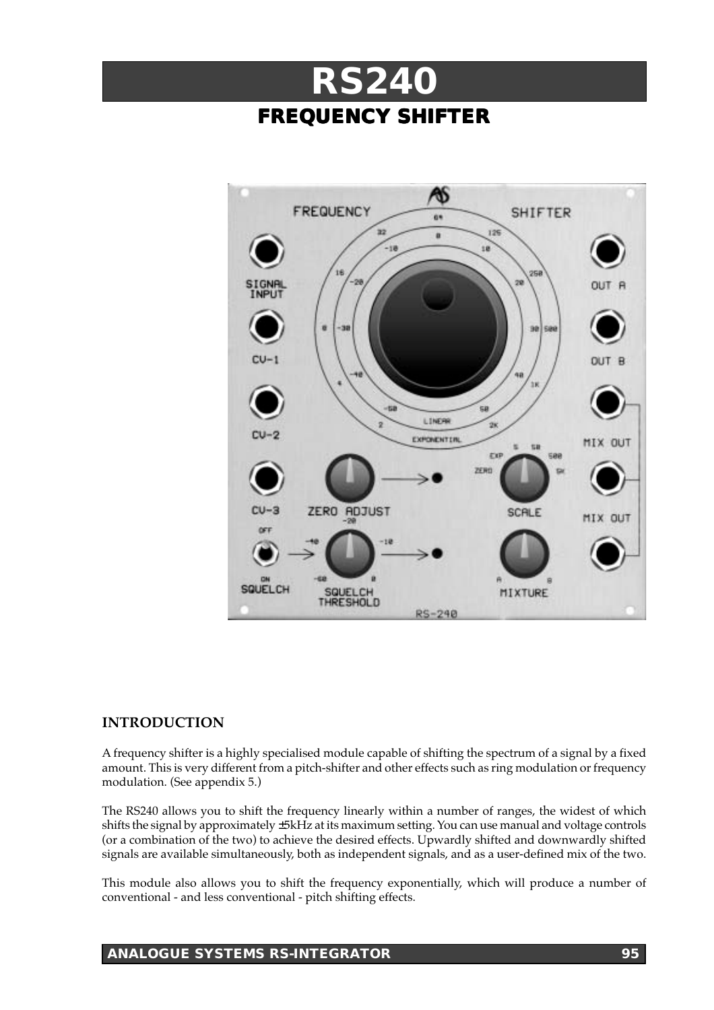



## **INTRODUCTION**

A frequency shifter is a highly specialised module capable of shifting the spectrum of a signal by a fixed amount. This is very different from a pitch-shifter and other effects such as ring modulation or frequency modulation. (See appendix 5.)

The RS240 allows you to shift the frequency linearly within a number of ranges, the widest of which shifts the signal by approximately ±5kHz at its maximum setting. You can use manual and voltage controls (or a combination of the two) to achieve the desired effects. Upwardly shifted and downwardly shifted signals are available simultaneously, both as independent signals, and as a user-defined mix of the two.

This module also allows you to shift the frequency exponentially, which will produce a number of conventional - and less conventional - pitch shifting effects.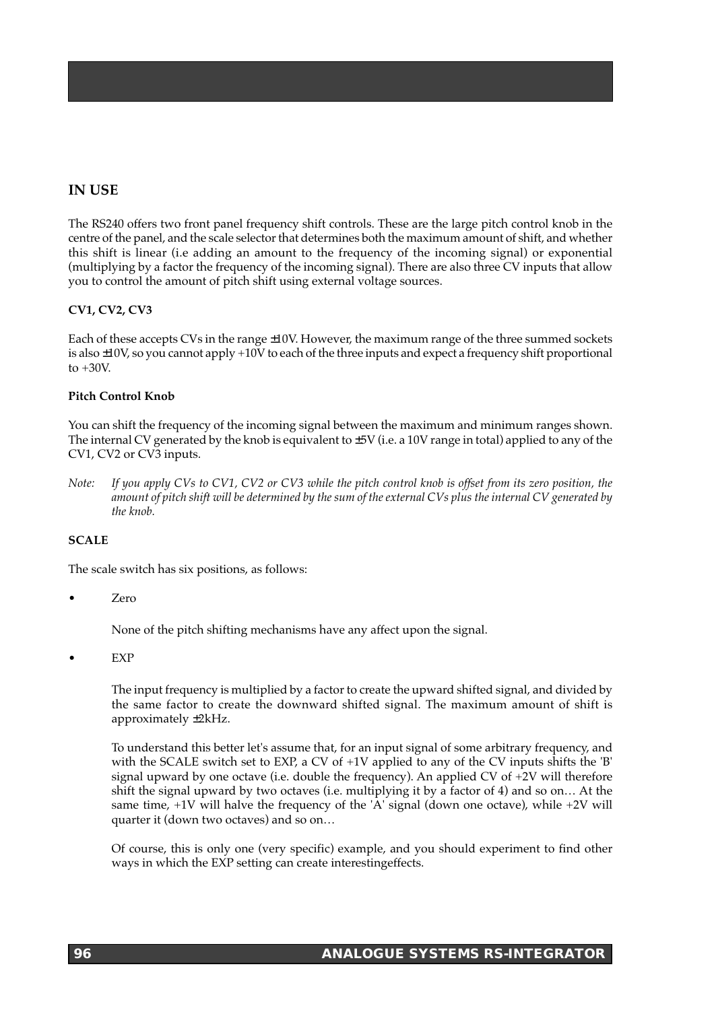# **IN USE**

The RS240 offers two front panel frequency shift controls. These are the large pitch control knob in the centre of the panel, and the scale selector that determines both the maximum amount of shift, and whether this shift is linear (i.e adding an amount to the frequency of the incoming signal) or exponential (multiplying by a factor the frequency of the incoming signal). There are also three CV inputs that allow you to control the amount of pitch shift using external voltage sources.

## **CV1, CV2, CV3**

Each of these accepts CVs in the range ±10V. However, the maximum range of the three summed sockets is also ±10V, so you cannot apply +10V to each of the three inputs and expect a frequency shift proportional to  $+30V$ .

## **Pitch Control Knob**

You can shift the frequency of the incoming signal between the maximum and minimum ranges shown. The internal CV generated by the knob is equivalent to  $\pm 5V$  (i.e. a 10V range in total) applied to any of the CV1, CV2 or CV3 inputs.

*Note: If you apply CVs to CV1, CV2 or CV3 while the pitch control knob is offset from its zero position, the amount of pitch shift will be determined by the sum of the external CVs plus the internal CV generated by the knob.*

## **SCALE**

The scale switch has six positions, as follows:

• Zero

None of the pitch shifting mechanisms have any affect upon the signal.

• EXP

The input frequency is multiplied by a factor to create the upward shifted signal, and divided by the same factor to create the downward shifted signal. The maximum amount of shift is approximately ±2kHz.

To understand this better let's assume that, for an input signal of some arbitrary frequency, and with the SCALE switch set to EXP, a CV of +1V applied to any of the CV inputs shifts the 'B' signal upward by one octave (i.e. double the frequency). An applied CV of  $+2V$  will therefore shift the signal upward by two octaves (i.e. multiplying it by a factor of 4) and so on… At the same time, +1V will halve the frequency of the 'A' signal (down one octave), while +2V will quarter it (down two octaves) and so on…

Of course, this is only one (very specific) example, and you should experiment to find other ways in which the EXP setting can create interestingeffects.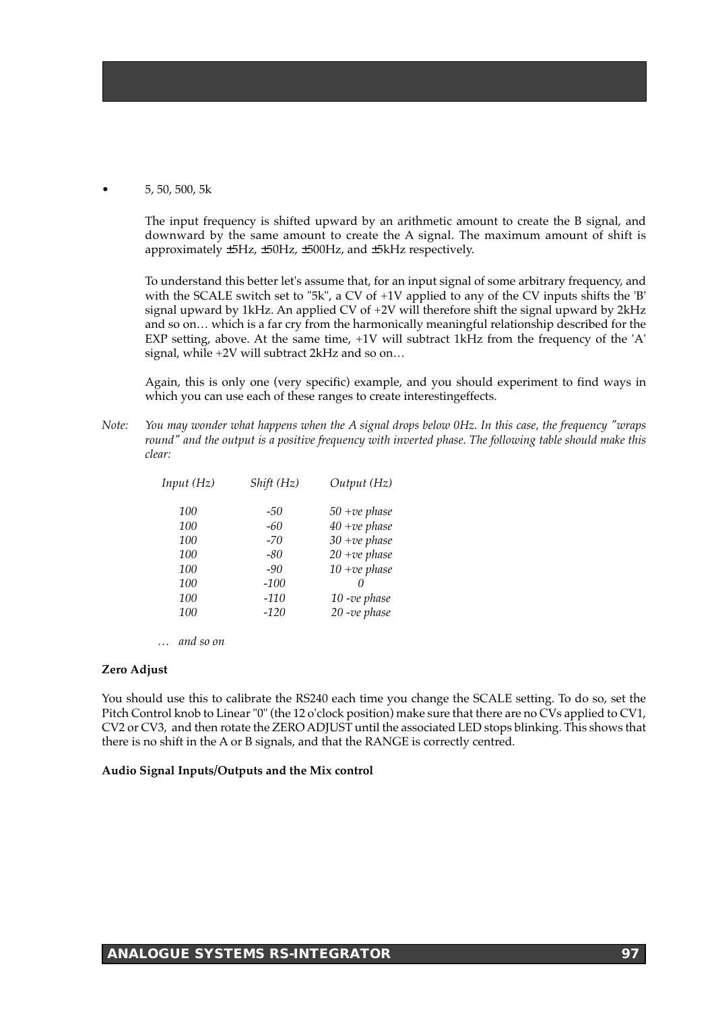### • 5, 50, 500, 5k

The input frequency is shifted upward by an arithmetic amount to create the B signal, and downward by the same amount to create the A signal. The maximum amount of shift is approximately ±5Hz, ±50Hz, ±500Hz, and ±5kHz respectively.

To understand this better let's assume that, for an input signal of some arbitrary frequency, and with the SCALE switch set to "5k", a CV of +1V applied to any of the CV inputs shifts the 'B' signal upward by 1kHz. An applied CV of +2V will therefore shift the signal upward by 2kHz and so on… which is a far cry from the harmonically meaningful relationship described for the EXP setting, above. At the same time, +1V will subtract 1kHz from the frequency of the 'A' signal, while +2V will subtract 2kHz and so on…

Again, this is only one (very specific) example, and you should experiment to find ways in which you can use each of these ranges to create interestingeffects.

*Note: You may wonder what happens when the A signal drops below 0Hz. In this case, the frequency "wraps round" and the output is a positive frequency with inverted phase. The following table should make this clear:*

| Input (Hz) | Shift (Hz) | Output (Hz)     |
|------------|------------|-----------------|
| 100        | -50        | $50 + ve phase$ |
| 100        | -60        | $40 + ve phase$ |
| 100        | -70        | $30 + ve phase$ |
| 100        | -80        | $20 + ve phase$ |
| 100        | $-90$      | $10 + ve phase$ |
| 100        | $-100$     | $\theta$        |
| 100        | $-110$     | $10$ -ve phase  |
| 100        | $-120$     | $20$ -ve phase  |

*… and so on*

#### **Zero Adjust**

You should use this to calibrate the RS240 each time you change the SCALE setting. To do so, set the Pitch Control knob to Linear "0" (the 12 o'clock position) make sure that there are no CVs applied to CV1, CV2 or CV3, and then rotate the ZERO ADJUST until the associated LED stops blinking. This shows that there is no shift in the A or B signals, and that the RANGE is correctly centred.

#### **Audio Signal Inputs/Outputs and the Mix control**

## **ANALOGUE SYSTEMS RS-INTEGRATOR 97**